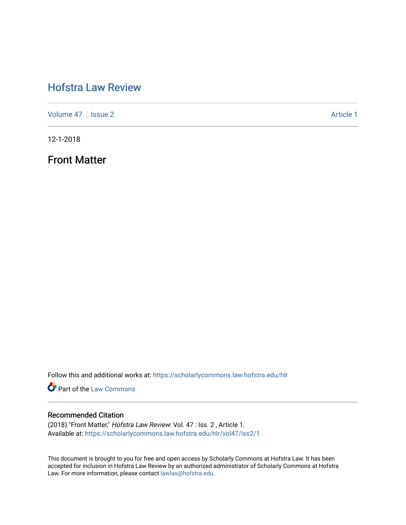# [Hofstra Law Review](https://scholarlycommons.law.hofstra.edu/hlr)

[Volume 47](https://scholarlycommons.law.hofstra.edu/hlr/vol47) | [Issue 2](https://scholarlycommons.law.hofstra.edu/hlr/vol47/iss2) Article 1

12-1-2018

Front Matter

Follow this and additional works at: [https://scholarlycommons.law.hofstra.edu/hlr](https://scholarlycommons.law.hofstra.edu/hlr?utm_source=scholarlycommons.law.hofstra.edu%2Fhlr%2Fvol47%2Fiss2%2F1&utm_medium=PDF&utm_campaign=PDFCoverPages)

**Part of the [Law Commons](http://network.bepress.com/hgg/discipline/578?utm_source=scholarlycommons.law.hofstra.edu%2Fhlr%2Fvol47%2Fiss2%2F1&utm_medium=PDF&utm_campaign=PDFCoverPages)** 

### Recommended Citation

(2018) "Front Matter," Hofstra Law Review: Vol. 47 : Iss. 2 , Article 1. Available at: [https://scholarlycommons.law.hofstra.edu/hlr/vol47/iss2/1](https://scholarlycommons.law.hofstra.edu/hlr/vol47/iss2/1?utm_source=scholarlycommons.law.hofstra.edu%2Fhlr%2Fvol47%2Fiss2%2F1&utm_medium=PDF&utm_campaign=PDFCoverPages)

This document is brought to you for free and open access by Scholarly Commons at Hofstra Law. It has been accepted for inclusion in Hofstra Law Review by an authorized administrator of Scholarly Commons at Hofstra Law. For more information, please contact [lawlas@hofstra.edu.](mailto:lawlas@hofstra.edu)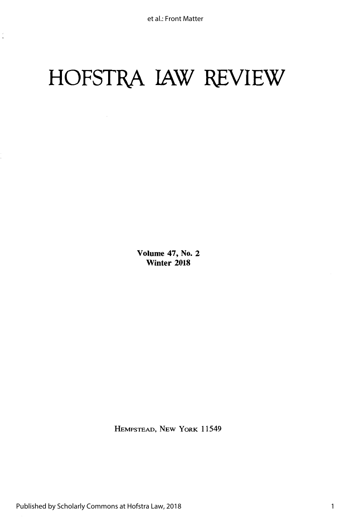# HOFSTPA **lAW** REVIEW

Í,

Volume 47, No. 2 Winter **2018**

HEMPSTEAD, NEW YORK 11549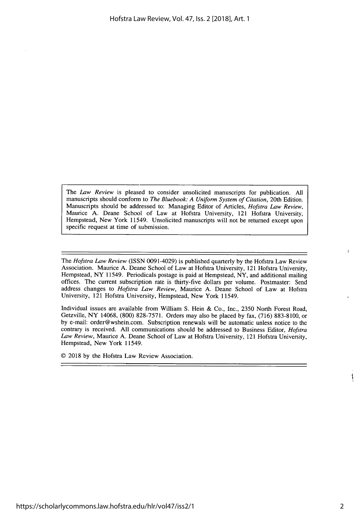The *Law Review* is pleased to consider unsolicited manuscripts for publication. All manuscripts should conform to *The Bluebook: A Uniform System of Citation,* 20th Edition. Manuscripts should be addressed to: Managing Editor of Articles, *Hofstra Law Review,* Maurice A. Deane School of Law at Hofstra University, 121 Hofstra University, Hempstead, New York 11549. Unsolicited manuscripts will not be returned except upon specific request at time of submission.

*The Hofstra Law Review* (ISSN 0091-4029) is published quarterly by the Hofstra Law Review Association. Maurice A. Deane School of Law at Hofstra University, 121 Hofstra University, Hempstead, NY 11549. Periodicals postage is paid at Hempstead, NY, and additional mailing offices. The current subscription rate is thirty-five dollars per volume. Postmaster: Send address changes to *Hofstra Law Review,* Maurice A. Deane School of Law at Hofstra University, 121 Hofstra University, Hempstead, New York 11549.

Individual issues are available from William S. Hein & Co., Inc., 2350 North Forest Road, Getzville, NY 14068, (800) 828-7571. Orders may also be placed by fax, (716) 883-8100, or by e-mail: order@wshein.com. Subscription renewals will be automatic unless notice to the contrary is received. All communications should be addressed to Business Editor, *Hofstra Law Review,* Maurice A. Deane School of Law at Hofstra University, 121 Hofstra University, Hempstead, New York 11549.

*©* 2018 by the Hofstra Law Review Association.

ī.

Ļ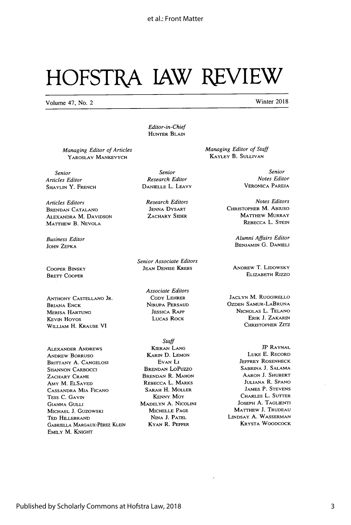# HOFSTPA **lAW** REVIEW

Volume 47, No. 2 Winter **2018**

*Editor-in-Chief* **HUNTER BLAIN**

*Managing Editor of Articles* YAROSLAV MANKEVYCH

*Senior Articles Editor* SHAYLN Y. FRENCH

*Articles Editors* **BRENDAN CATALANO** ALEXANDRA M. **DAVIDSON** MATTHEW B. **NEVOLA**

*Business Editor* JOHN ZEPKA

COOPER BINSKY BRErr COOPER

ANTHONY CASTELLANO JR. BRIANA ENCK MERISA HARTUNG KEVIN HoYoS WILLIAM H. KRAUSE VI

ALEXANDER ANDREWS ANDREW BORRUSO BRITTANY A. CANGELOSI **SHANNON CARBOCCI** ZACHARY CRANE AMY M. **ELSAYED** CASSANDRA MIA FICANO TESS **C.** GAVIN GIANNA GULLI MICHAEL J. GUZOWSKI **TED HILLEBRAND** GABRIELLA MARGAUX-PÉREZ KLEIN EMILY M. KNIGHT

*Senior Research Editor* DANIELLE L. LEAVY

*Research Editors* **JENNA** DYSART ZACHARY SIDER

*Senior Associate Editors* **JEAN** DENISE KREBS

> *Associate Editors* CODY LEHRER NiRUPA PERSAUD JESSICA RAPP LUCAS ROCK

*Staff* KIERAN **LANG** KARIN D. LEMON **EVAN** LI BRENDAN LoPuzzo BRENDAN R. MAHON REBECCA L. MARKS SARAH H. MOLLER **KENNY** MOY MADELYN A. NiCOLINI MICHELLE **PAGE** NINA **J.** PATEL KYAN R. PEFFER

*Senior*

*Managing Editor of Staff* KAYLEY B. SULLIVAN

> *Notes Editor* VERONICA PAREJA

*Notes Editors* CHRISTOPHER M. ABIuso MATTHEW MURRAY REBECCA L. STEIN

> *Alumni Affairs Editor* BENJAMIN **G. DANIELI**

ANDREW T. LIDOWSKY ELIZABETH RIZZO

JACLYN M. RUGGIRELLO OZDEN SAMUR-LABRUNA NICHOLAS L. TELANO ERIK **J.** ZAKARIN CHRISTOPHER ZITZ

**JP** RAYNAL LUKE E. RECORD JEFFREY ROSENHECK **SABRINA** J. SALAMA **AARON J. SHUBERT** JULIANA R. SPANO JAMES P. STEVENS CHARLES L. **SUrER** JOSEPH A. TAGLIENTI MATTHEW J. TRUDEAU LINDSAY **A. WASSERMAN** KRYSTA WOODCOCK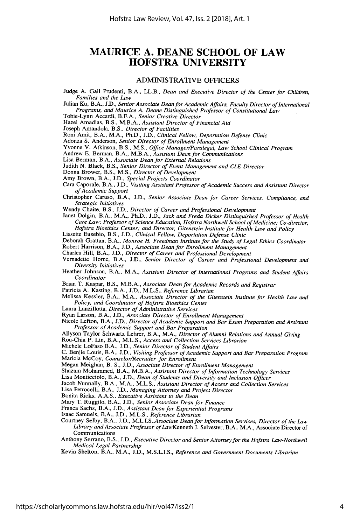## **MAURICE A. DEANE SCHOOL OF LAW HOFSTRA UNIVERSITY**

#### ADMINISTRATIVE OFFICERS

Judge A. Gail Prudenti, B.A., LL.B., *Dean and Executive Director of the Center for Children, Families and the Law*

Julian Ku, B.A., J.D., *Senior Associate Dean for Academic Affairs, Faculty Director of International Programs, and Maurice A. Deane Distinguished Professor of Constitutional Law*

Tobie-Lynn Accardi, B.F.A., *Senior Creative Director*

Hazel Amadias, B.S., M.B.A., *Assistant Director of Financial Aid*

Joseph Amandola, B.S., *Director of Facilities*

Roni Amit, B.A., M.A., Ph.D., J.D., *Clinical Fellow, Deportation Defense Clinic*

- Adonza S. Anderson, *Senior Director of Enrollment Management*
- Yvonne V. Atkinson, B.S., M.S., *Office Manager/Paralegal, Law School Clinical Program*

Andrew E. Berman, B.A., M.B.A., *Assistant Dean for Communications*

Lisa Berman, B.A., *Associate Dean for External Relations*

Judith N. Black, B.S., *Senior Director of Event Management and CLE Director*

Donna Brower, B.S., M.S., *Director of Development*

Amy Brown, B.A., J.D., *Special Projects Coordinator*

Cara Caporale, B.A., J.D., *Visiting Assistant Professor of Academic Success and Assistant Director of Academic Support*

Christopher Caruso, B.A., J.D., *Senior Associate Dean for Career Services, Compliance, and Strategic Initiatives*

Wendy Chaite, B.S., J.D., *Director of Career and Professional Development*

Janet Dolgin, B.A., M.A., Ph.D., J.D., *Jack and Freda Dicker Distinguished Professor of Health Care Law; Professor of Science Education, Hofstra Norhwell School of Medicine; Co-director, Hofstra Bioethics Center; and Director, Gitenstein Institute for Health Law and Policy*

Lissette Eusebio, B.S., J.D., *Clinical Fellow, Deportation Defense Clinic*

- Deborah Grattan, B.A., *Monroe H. Freedman Institute for the Study of Legal Ethics Coordinator*
- Robert Harrison, B.A., J.D., *Associate Dean for Enrollment Management*

Charles Hill, B.A., J.D., *Director of Career and Professional Development*

- Vernadette Home, B.A., J.D., *Senior Director of Career and Professional Development and Diversity Initiatives*
- Heather Johnson, B.A., M.A., *Assistant Director of International Programs and Student Affairs Coordinator*

Brian T. Kaspar, B.S., M.B.A., *Associate Dean for Academic Records and Registrar*

Patricia A. Kasting, B.A., J.D., M.L.S., *Reference Librarian*

- Melissa Kessler, B.A., M.A., *Associate Director of the Gitenstein Institute for Health Law and Policy, and Coordinator of Hofstra Bioethics Center*
- Laura Lanzillotta, *Director of Administrative Services*

Ryan Larson, B.A., J.D., *Associate Director of Enrollment Management*

Nicole Lefton, B.A., J.D., *Director of Academic Support and Bar Exam Preparation and Assistant Professor of Academic Support and Bar Preparation*

Allyson Taylor Schwartz Lehrer, B.A., M.A., *Director of Alumni Relations and Annual Giving*

Rou-Chia P. Lin, B.A., M.L.S., *Access and Collection Services Librarian*

Michele LoFaso B.A., J.D., *Senior Director of Student Affairs*

C. Benjie Louis, B.A., J.D., *Visiting Professor of Academic Support and Bar Preparation Program* Maricia McCoy, *Counselor/Recruiter for Enrollment*

Megan Meighan, B. S., J.D., *Associate Director of Enrollment Management*

Shazam Mohammed, B.A., M.B.A., *Assistant Director of Information Technology Services*

Lisa Monticciolo, B.A., J.D., *Dean of Students and Diversity and Inclusion Officer*

Jacob Nunnally, B.A., M.A., M.L.S., *Assistant Director of Access and Collection Services*

Lisa Petrocelli, B.A., J.D., *Managing Attorney and Project Director*

Bonita Ricks, A.A.S., *Executive Assistant to the Dean*

Mary T. Ruggilo, B.A., J.D., *Senior Associate Dean for Finance*

Franca Sachs, B.A., J.D., *Assistant Dean for Experiential Programs*

- Isaac Samuels, B.A., J.D., M.L.S., *Reference Librarian*
- Courtney Selby, B.A., J.D., *M.L.I.S.,Associate Dean for Information Services, Director of the Law Library and Associate Professor of* LawKenneth J. Selvester, B.A., M.A., Associate Director of Communications

Anthony Serrano, B.S., J.D., *Executive Director and Senior Attorney for the Hofstra Law-Northwell Medical Legal Partnership*

Kevin Shelton, B.A., M.A., J.D., M.S.L.I.S., *Reference and Government Documents Librarian*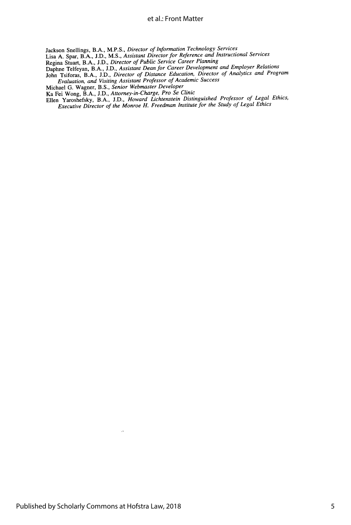#### et al.: Front Matter

Jackson Sneulings, B.A., M.P.S., *Director of Information Technology Services* Lisa A. Spar, B.A., J.D., M.S., *Assistant Director for Reference and Instructional Services*

Regina Stuart, B.A., J.D., *Director of Public Service Career Planning*

- Daphne Telfeyan, B.A., J.D., *Assistant Dean for Career Development and Employer Relations* John Tsiforas, B.A., J.D., *Director of Distance Education, Director of Analytics and Program Evaluation, and Visiting Assistant Professor of Academic Success*
- Michael G. Wagner, B.S., *Senior Webmaster Developer*
- Ka Fei Wong, B.A., J.D., *Attorney-in-Charge, Pro Se Clinic*
- Ellen Yaroshefsky, B.A., J.D., *Howard Lichtenstein Distinguished Professor of Legal Ethics, Executive Director of the Monroe H. Freedman Institute for the Study of Legal Ethics*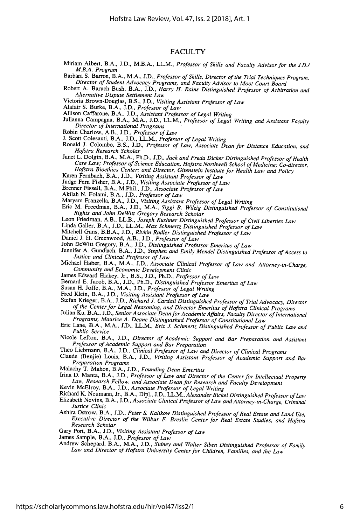#### FACULTY

- Miriam Albert, B.A., J.D., M.B.A., LL.M., *Professor of Skills and Faculty Advisor for the J.DJ M.B.A. Program*
- Barbara S. Barron, B.A., M.A., J.D., *Professor of Skills, Director of the Trial Techniques Program,*
- *Director of Student Advocacy Programs, and Faculty Advisor to Moot Court Board* Robert A. Baruch Bush, B.A., J.D., *Harry H. Rains Distinguished Professor of Arbitration and Alternative Dispute Settlement Law*
- Victoria Brown-Douglas, B.S., J.D., *Visiting Assistant Professor of Law*
- Alafair S. Burke, B.A., J.D., *Professor of Law*
- Allison Caffarone, B.A., J.D., *Assistant Professor of Legal Writing*
- Julianna Campagna, B.A., M.A., J.D., LL.M., *Professor of Legal Writing and Assistant Faculty Director of International Programs*
- Robin Charlow, A.B., J.D., *Professor of Law*

J. Scott Colesanti, B.A., J.D., LL.M., *Professor of Legal Writing*

- Ronald J. Colombo, B.S., J.D., *Professor of Law, Associate Dean for Distance Education, and Hofstra Research Scholar*
- Janet L. Dolgin, B.A., M.A., Ph.D., J.D., *Jack and Freda Dicker Distinguished Professor of Health Care Law; Professor of Science Education, Hofstra Northwell School of Medicine; Co-director, Hofstra Bioethics Center; and Director, Gitenstein Institute for Health Law and Policy*

Karen Fernbach, B.A., J.D., *Visiting Assistant Professor of Law*

- Judge Fern Fisher, B.A., J.D., *Visiting Associate Professor of Law*
- Brenner Fissell, B.A., M.Phil., J.D., *Associate Professor of Law*
- Akilah N. Folami, B.A., J.D., *Professor of Law*
- Maryam Franzella, B.A., J.D., *Visiting Assistant Professor of Legal Writing*
- Eric M. Freedman, B.A., J.D., M.A., *Siggi B. Wilzig Distinguished Professor of Constitutional Rights and John DeWitt Gregory Research Scholar*
- Leon Friedman, A.B., LL.B., *Joseph Kushner Distinguished Professor of Civil Liberties Law*
- Linda Galler, B.A., J.D., LL.M., *Max Schmertz Distinguished Professor of Law*
- Mitchell Gans, B.B.A., J.D., *Rivkin Radler Distinguished Professor of Law*
- Daniel J. H. Greenwood, A.B., J.D., *Professor of Law*
- John DeWitt Gregory, B.A., J.D., *Distinguished Professor Emeritus of Law*
- Jennifer A. Gundlach, B.A., J.D., *Stephen and Emily Mendel Distinguished Professor of Access to Justice and Clinical Professor of Law*
- Michael Haber, B.A., M.A., J.D., *Associate Clinical Professor of Law and Attorney-in-Charge, Community and Economic Development Clinic*
- James Edward Hickey, Jr., B.S., J.D., Ph.D., *Professor of Law*
- Bernard E. Jacob, B.A., J.D., Ph.D., *Distinguished Professor Emeritus of Law*
- Susan H. Joffe, B.A., M.A., J.D., *Professor of Legal Writing*
- 
- Fred Klein, B.A., J.D., *Visiting Assistant Professor of Law* Stefan Krieger, B.A., J.D., *Richard J. Cardali Distinguished Professor of Trial Advocacy, Director of the Center for Legal Reasoning, and Director Emeritus of Hofstra Clinical Programs*
- Julian Ku, B.A., J.D., *Senior Associate Dean for Academic Affairs, Faculty Director of International Programs, Maurice A. Deane Distinguished Professor of Constitutional Law*
- Eric Lane, B.A., M.A., J.D., LL.M., *Eric J. Schmertz Distinguished Professor of Public Law and Public Service*
- Nicole Lefton, B.A., J.D., *Director of Academic Support and Bar Preparation and Assistant Professor of Academic Support and Bar Preparation*
- Theo Liebmann, B.A., J.D., *Clinical Professor of Law and Director of Clinical Programs*
- Claude (Benjie) Louis, B.A., J.D., *Visiting Assistant Professor of Academic Support and Bar Preparation Programs*

Malachy T. Mahon, B.A., J.D., *Founding Dean Emeritus*

Irina D. Manta, B.A., J.D., *Professor of Law and Director of the Center for Intellectual Property Law, Research Fellow, and Associate Dean for Research and Faculty Development* Kevin McElroy, B.A., J.D., *Associate Professor of Legal Writing*

- Richard K. Neumann, Jr., B.A., Dipl., J.D., LL.M., *Alexander Bickel Distinguished Professor of Law* Elizabeth Nevins, B.A., J.D., *Associate Clinical Professor of Law and Attorney-in-Charge, Criminal Justice Clinic*
- Ashira Ostrow, B.A., J.D., *Peter S. Kalikow Distinguished Professor of Real Estate and Land Use, Executive Director of the Wilbur F. Breslin Center for Real Estate Studies, and Hofstra Research Scholar*
- Gary Port, B.A., J.D., *Visiting Assistant Professor of Law*

James Sample, B.A., J.D., *Professor of Law*

Andrew Schepard, B.A., M.A., J.D., *Sidney and Walter Siben Distinguished Professor of Family Law and Director of Hofstra University Center for Children, Families, and the Law*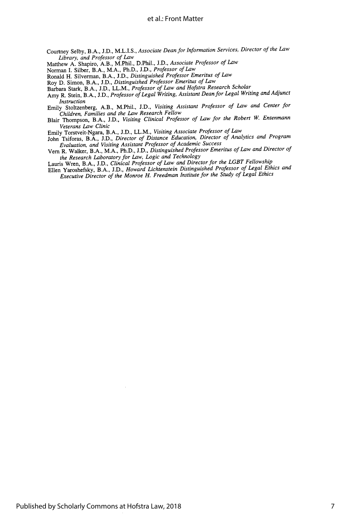- Courtney Selby, B.A., J.D., M.L.I.S., *Associate Dean for Information Services, Director of the Law Library, and Professor of Law*
- Matthew A. Shapiro, A.B., M.Phil., D.Phil., J.D., *Associate Professor of Law*
- Norman I. Silber, B.A., M.A., Ph.D., J.D., *Professor of Law*
- Ronald H. Silverman, B.A., J.D., *Distinguished Professor Emeritus of Law*
- Roy D. Simon, B.A., J.D., *Distinguished Professor Emeritus of Law*
- Barbara Stark, B.A., J.D., LL.M., *Professor of Law and Hofstra Research Scholar*
- Amy R. Stein, B.A., J.D., *Professor of Legal Writing, Assistant Dean for Legal Writing and Adjunct Instruction*
- Emily Stoltzenberg, A.B., M.Phil., J.D., *Visiting Assistant Professor of Law and Center for Children, Families and the Law Research Fellow*
- Blair Thompson, B.A., J.D., *Visiting Clinical Professor of Law for the Robert W. Entenmann Veterans Law Clinic*
- Emily Torstveit-Ngara, B.A., J.D., LL.M., *Visiting Associate Professor of Law*
- John Tsiforas, B.A., J.D., *Director of Distance Education, Director of Analytics and Program Evaluation, and Visiting Assistant Professor of Academic Success*
- Vern R. Walker, B.A., M.A., Ph.D., J.D., *Distinguished Professor Emeritus of Law and Director of the Research Laboratory for Law, Logic and Technology*
- Lauris Wren, B.A., J.D., *Clinical Professor of Law and Director for the LGBT Fellowship*
- Ellen Yaroshefsky, B.A., J.D., *Howard Lichtenstein Distinguished Professor of Legal Ethics and Executive Director of the Monroe H. Freedman Institute for the Study of Legal Ethics*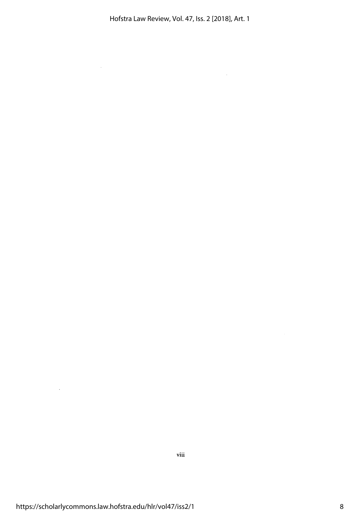Hofstra Law Review, Vol. 47, Iss. 2 [2018], Art. 1

 $\hat{\boldsymbol{\beta}}$ 

 $\bar{z}$ 

J,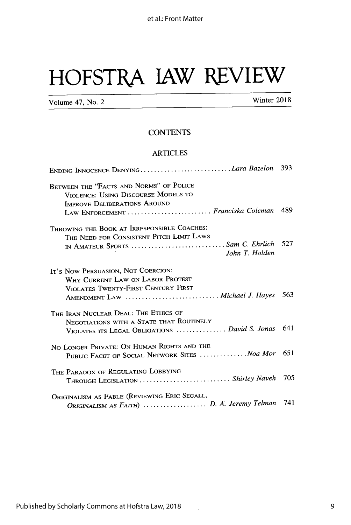# HOFSTRA **lAW** REVIEW

Volume 47, No. 2 Winter **2018**

### **CONTENTS**

#### ARTICLES

| BETWEEN THE "FACTS AND NORMS" OF POLICE<br>VIOLENCE: USING DISCOURSE MODELS TO<br><b>IMPROVE DELIBERATIONS AROUND</b><br>LAW ENFORCEMENT  Franciska Coleman | 489 |
|-------------------------------------------------------------------------------------------------------------------------------------------------------------|-----|
| THROWING THE BOOK AT IRRESPONSIBLE COACHES:<br>THE NEED FOR CONSISTENT PITCH LIMIT LAWS<br>IN AMATEUR SPORTS Sam C. Ehrlich 527<br>John T. Holden           |     |
| It's Now PERSUASION, NOT COERCION:<br>WHY CURRENT LAW ON LABOR PROTEST<br>VIOLATES TWENTY-FIRST CENTURY FIRST<br>AMENDMENT LAW  Michael J. Hayes            | 563 |
| THE IRAN NUCLEAR DEAL: THE ETHICS OF<br>NEGOTIATIONS WITH A STATE THAT ROUTINELY<br>VIOLATES ITS LEGAL OBLIGATIONS  David S. Jonas 641                      |     |
| NO LONGER PRIVATE: ON HUMAN RIGHTS AND THE<br>PUBLIC FACET OF SOCIAL NETWORK SITES  Noa Mor 651                                                             |     |
| THE PARADOX OF REGULATING LOBBYING<br>THROUGH LEGISLATION  Shirley Naveh 705                                                                                |     |
| ORIGINALISM AS FABLE (REVIEWING ERIC SEGALL,<br>ORIGINALISM AS FAITH)  D. A. Jeremy Telman 741                                                              |     |

 $\sim 10$